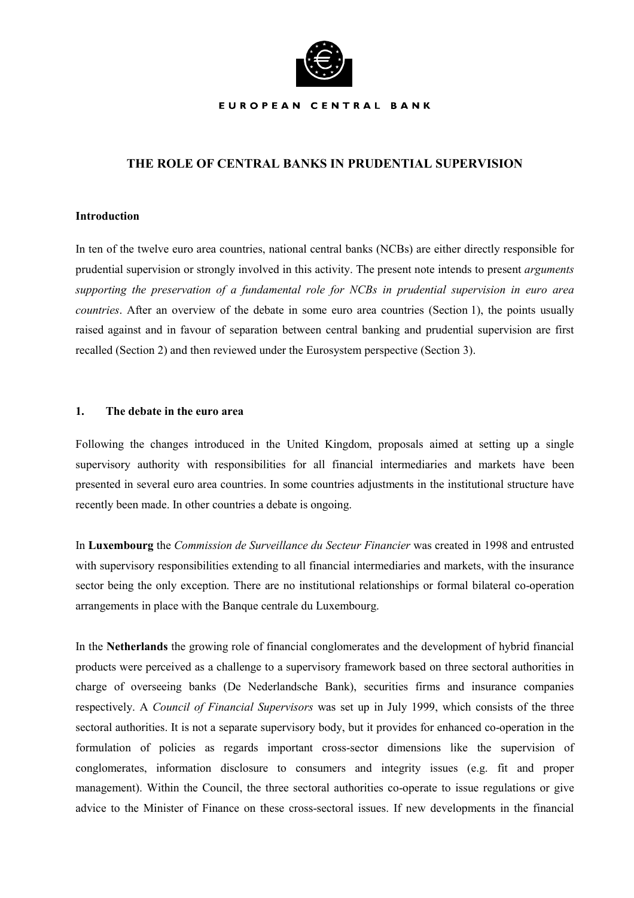

#### EUROPEAN CENTRAL BANK

## **THE ROLE OF CENTRAL BANKS IN PRUDENTIAL SUPERVISION**

### **Introduction**

In ten of the twelve euro area countries, national central banks (NCBs) are either directly responsible for prudential supervision or strongly involved in this activity. The present note intends to present *arguments supporting the preservation of a fundamental role for NCBs in prudential supervision in euro area countries*. After an overview of the debate in some euro area countries (Section 1), the points usually raised against and in favour of separation between central banking and prudential supervision are first recalled (Section 2) and then reviewed under the Eurosystem perspective (Section 3).

#### **1. The debate in the euro area**

Following the changes introduced in the United Kingdom, proposals aimed at setting up a single supervisory authority with responsibilities for all financial intermediaries and markets have been presented in several euro area countries. In some countries adjustments in the institutional structure have recently been made. In other countries a debate is ongoing.

In **Luxembourg** the *Commission de Surveillance du Secteur Financier* was created in 1998 and entrusted with supervisory responsibilities extending to all financial intermediaries and markets, with the insurance sector being the only exception. There are no institutional relationships or formal bilateral co-operation arrangements in place with the Banque centrale du Luxembourg.

In the **Netherlands** the growing role of financial conglomerates and the development of hybrid financial products were perceived as a challenge to a supervisory framework based on three sectoral authorities in charge of overseeing banks (De Nederlandsche Bank), securities firms and insurance companies respectively. A *Council of Financial Supervisors* was set up in July 1999, which consists of the three sectoral authorities. It is not a separate supervisory body, but it provides for enhanced co-operation in the formulation of policies as regards important cross-sector dimensions like the supervision of conglomerates, information disclosure to consumers and integrity issues (e.g. fit and proper management). Within the Council, the three sectoral authorities co-operate to issue regulations or give advice to the Minister of Finance on these cross-sectoral issues. If new developments in the financial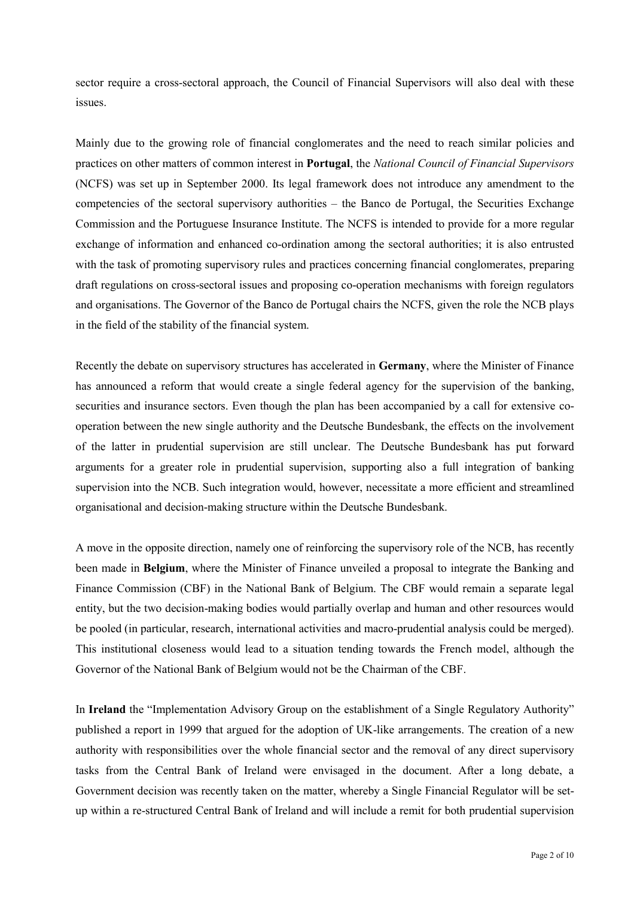sector require a cross-sectoral approach, the Council of Financial Supervisors will also deal with these issues.

Mainly due to the growing role of financial conglomerates and the need to reach similar policies and practices on other matters of common interest in **Portugal**, the *National Council of Financial Supervisors* (NCFS) was set up in September 2000. Its legal framework does not introduce any amendment to the competencies of the sectoral supervisory authorities – the Banco de Portugal, the Securities Exchange Commission and the Portuguese Insurance Institute. The NCFS is intended to provide for a more regular exchange of information and enhanced co-ordination among the sectoral authorities; it is also entrusted with the task of promoting supervisory rules and practices concerning financial conglomerates, preparing draft regulations on cross-sectoral issues and proposing co-operation mechanisms with foreign regulators and organisations. The Governor of the Banco de Portugal chairs the NCFS, given the role the NCB plays in the field of the stability of the financial system.

Recently the debate on supervisory structures has accelerated in **Germany**, where the Minister of Finance has announced a reform that would create a single federal agency for the supervision of the banking, securities and insurance sectors. Even though the plan has been accompanied by a call for extensive cooperation between the new single authority and the Deutsche Bundesbank, the effects on the involvement of the latter in prudential supervision are still unclear. The Deutsche Bundesbank has put forward arguments for a greater role in prudential supervision, supporting also a full integration of banking supervision into the NCB. Such integration would, however, necessitate a more efficient and streamlined organisational and decision-making structure within the Deutsche Bundesbank.

A move in the opposite direction, namely one of reinforcing the supervisory role of the NCB, has recently been made in **Belgium**, where the Minister of Finance unveiled a proposal to integrate the Banking and Finance Commission (CBF) in the National Bank of Belgium. The CBF would remain a separate legal entity, but the two decision-making bodies would partially overlap and human and other resources would be pooled (in particular, research, international activities and macro-prudential analysis could be merged). This institutional closeness would lead to a situation tending towards the French model, although the Governor of the National Bank of Belgium would not be the Chairman of the CBF.

In **Ireland** the "Implementation Advisory Group on the establishment of a Single Regulatory Authority" published a report in 1999 that argued for the adoption of UK-like arrangements. The creation of a new authority with responsibilities over the whole financial sector and the removal of any direct supervisory tasks from the Central Bank of Ireland were envisaged in the document. After a long debate, a Government decision was recently taken on the matter, whereby a Single Financial Regulator will be setup within a re-structured Central Bank of Ireland and will include a remit for both prudential supervision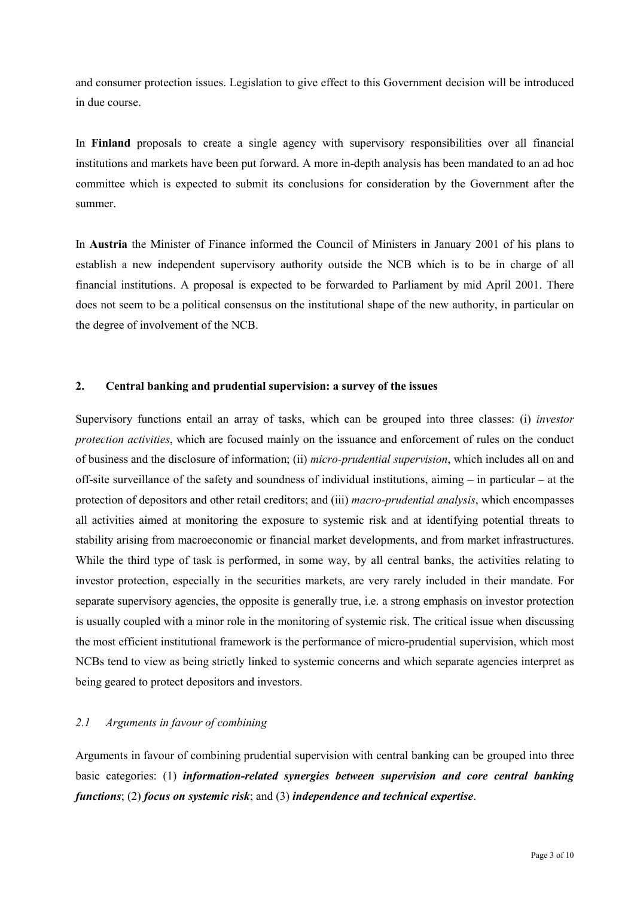and consumer protection issues. Legislation to give effect to this Government decision will be introduced in due course.

In **Finland** proposals to create a single agency with supervisory responsibilities over all financial institutions and markets have been put forward. A more in-depth analysis has been mandated to an ad hoc committee which is expected to submit its conclusions for consideration by the Government after the summer.

In **Austria** the Minister of Finance informed the Council of Ministers in January 2001 of his plans to establish a new independent supervisory authority outside the NCB which is to be in charge of all financial institutions. A proposal is expected to be forwarded to Parliament by mid April 2001. There does not seem to be a political consensus on the institutional shape of the new authority, in particular on the degree of involvement of the NCB.

## **2. Central banking and prudential supervision: a survey of the issues**

Supervisory functions entail an array of tasks, which can be grouped into three classes: (i) *investor protection activities*, which are focused mainly on the issuance and enforcement of rules on the conduct of business and the disclosure of information; (ii) *micro-prudential supervision*, which includes all on and off-site surveillance of the safety and soundness of individual institutions, aiming  $-$  in particular  $-$  at the protection of depositors and other retail creditors; and (iii) *macro-prudential analysis*, which encompasses all activities aimed at monitoring the exposure to systemic risk and at identifying potential threats to stability arising from macroeconomic or financial market developments, and from market infrastructures. While the third type of task is performed, in some way, by all central banks, the activities relating to investor protection, especially in the securities markets, are very rarely included in their mandate. For separate supervisory agencies, the opposite is generally true, i.e. a strong emphasis on investor protection is usually coupled with a minor role in the monitoring of systemic risk. The critical issue when discussing the most efficient institutional framework is the performance of micro-prudential supervision, which most NCBs tend to view as being strictly linked to systemic concerns and which separate agencies interpret as being geared to protect depositors and investors.

# *2.1 Arguments in favour of combining*

Arguments in favour of combining prudential supervision with central banking can be grouped into three basic categories: (1) *information-related synergies between supervision and core central banking functions*; (2) *focus on systemic risk*; and (3) *independence and technical expertise*.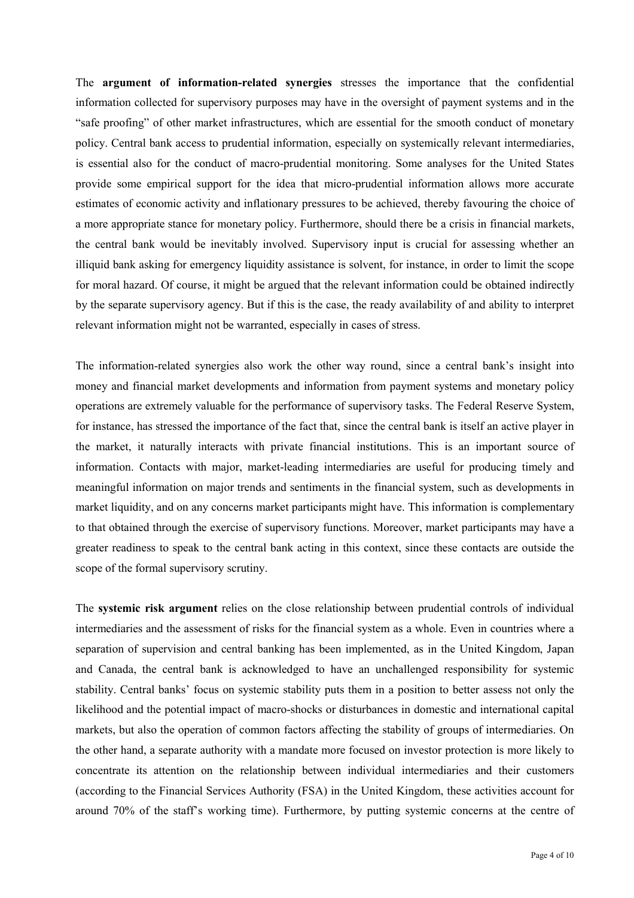The **argument of information-related synergies** stresses the importance that the confidential information collected for supervisory purposes may have in the oversight of payment systems and in the "safe proofing" of other market infrastructures, which are essential for the smooth conduct of monetary policy. Central bank access to prudential information, especially on systemically relevant intermediaries, is essential also for the conduct of macro-prudential monitoring. Some analyses for the United States provide some empirical support for the idea that micro-prudential information allows more accurate estimates of economic activity and inflationary pressures to be achieved, thereby favouring the choice of a more appropriate stance for monetary policy. Furthermore, should there be a crisis in financial markets, the central bank would be inevitably involved. Supervisory input is crucial for assessing whether an illiquid bank asking for emergency liquidity assistance is solvent, for instance, in order to limit the scope for moral hazard. Of course, it might be argued that the relevant information could be obtained indirectly by the separate supervisory agency. But if this is the case, the ready availability of and ability to interpret relevant information might not be warranted, especially in cases of stress.

The information-related synergies also work the other way round, since a central bank's insight into money and financial market developments and information from payment systems and monetary policy operations are extremely valuable for the performance of supervisory tasks. The Federal Reserve System, for instance, has stressed the importance of the fact that, since the central bank is itself an active player in the market, it naturally interacts with private financial institutions. This is an important source of information. Contacts with major, market-leading intermediaries are useful for producing timely and meaningful information on major trends and sentiments in the financial system, such as developments in market liquidity, and on any concerns market participants might have. This information is complementary to that obtained through the exercise of supervisory functions. Moreover, market participants may have a greater readiness to speak to the central bank acting in this context, since these contacts are outside the scope of the formal supervisory scrutiny.

The **systemic risk argument** relies on the close relationship between prudential controls of individual intermediaries and the assessment of risks for the financial system as a whole. Even in countries where a separation of supervision and central banking has been implemented, as in the United Kingdom, Japan and Canada, the central bank is acknowledged to have an unchallenged responsibility for systemic stability. Central banks' focus on systemic stability puts them in a position to better assess not only the likelihood and the potential impact of macro-shocks or disturbances in domestic and international capital markets, but also the operation of common factors affecting the stability of groups of intermediaries. On the other hand, a separate authority with a mandate more focused on investor protection is more likely to concentrate its attention on the relationship between individual intermediaries and their customers (according to the Financial Services Authority (FSA) in the United Kingdom, these activities account for around 70% of the staffís working time). Furthermore, by putting systemic concerns at the centre of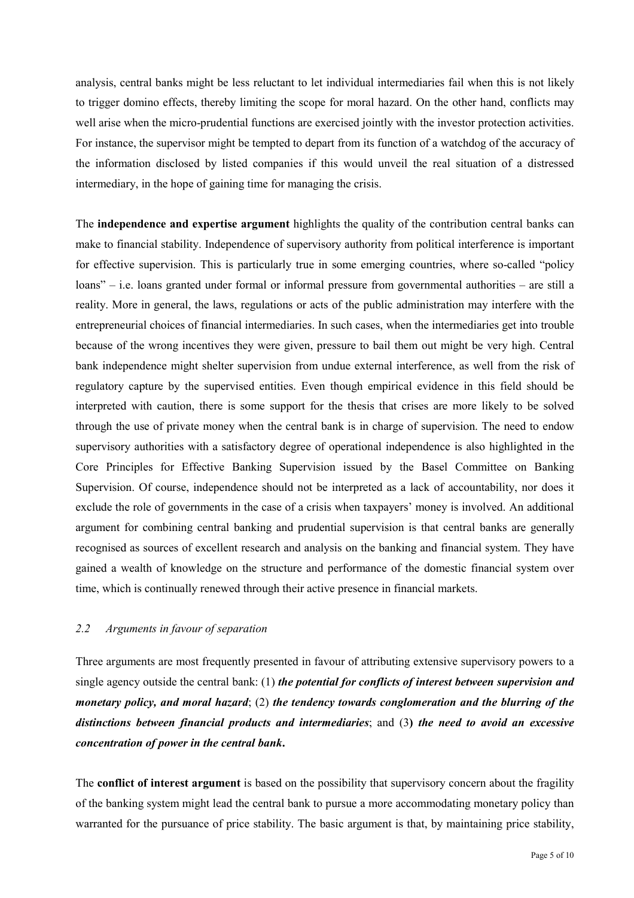analysis, central banks might be less reluctant to let individual intermediaries fail when this is not likely to trigger domino effects, thereby limiting the scope for moral hazard. On the other hand, conflicts may well arise when the micro-prudential functions are exercised jointly with the investor protection activities. For instance, the supervisor might be tempted to depart from its function of a watchdog of the accuracy of the information disclosed by listed companies if this would unveil the real situation of a distressed intermediary, in the hope of gaining time for managing the crisis.

The **independence and expertise argument** highlights the quality of the contribution central banks can make to financial stability. Independence of supervisory authority from political interference is important for effective supervision. This is particularly true in some emerging countries, where so-called "policy" loans" – i.e. loans granted under formal or informal pressure from governmental authorities – are still a reality. More in general, the laws, regulations or acts of the public administration may interfere with the entrepreneurial choices of financial intermediaries. In such cases, when the intermediaries get into trouble because of the wrong incentives they were given, pressure to bail them out might be very high. Central bank independence might shelter supervision from undue external interference, as well from the risk of regulatory capture by the supervised entities. Even though empirical evidence in this field should be interpreted with caution, there is some support for the thesis that crises are more likely to be solved through the use of private money when the central bank is in charge of supervision. The need to endow supervisory authorities with a satisfactory degree of operational independence is also highlighted in the Core Principles for Effective Banking Supervision issued by the Basel Committee on Banking Supervision. Of course, independence should not be interpreted as a lack of accountability, nor does it exclude the role of governments in the case of a crisis when taxpayers' money is involved. An additional argument for combining central banking and prudential supervision is that central banks are generally recognised as sources of excellent research and analysis on the banking and financial system. They have gained a wealth of knowledge on the structure and performance of the domestic financial system over time, which is continually renewed through their active presence in financial markets.

## *2.2 Arguments in favour of separation*

Three arguments are most frequently presented in favour of attributing extensive supervisory powers to a single agency outside the central bank: (1) *the potential for conflicts of interest between supervision and monetary policy, and moral hazard*; (2) *the tendency towards conglomeration and the blurring of the distinctions between financial products and intermediaries*; and (3**)** *the need to avoid an excessive concentration of power in the central bank***.**

The **conflict of interest argument** is based on the possibility that supervisory concern about the fragility of the banking system might lead the central bank to pursue a more accommodating monetary policy than warranted for the pursuance of price stability. The basic argument is that, by maintaining price stability,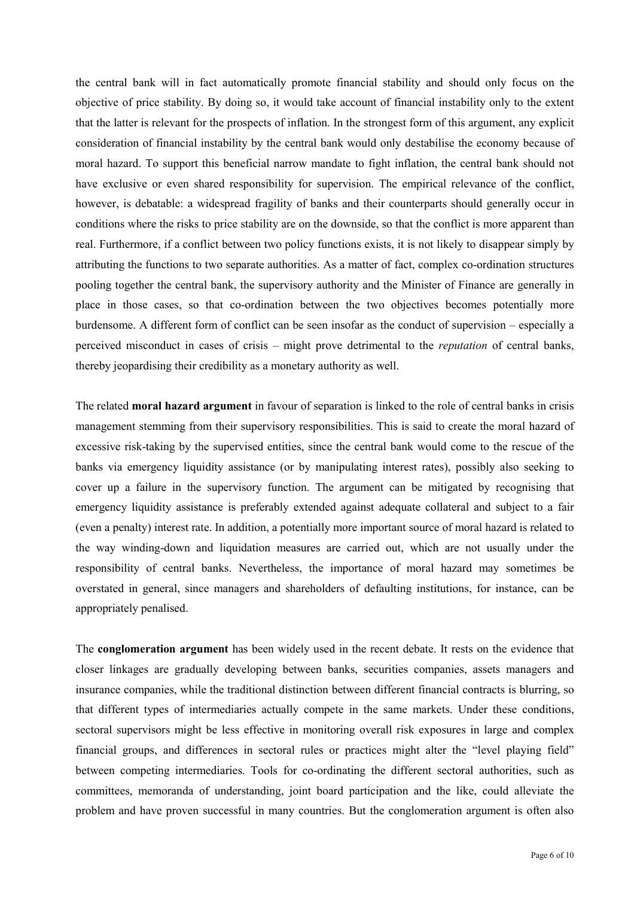the central bank will in fact automatically promote financial stability and should only focus on the objective of price stability. By doing so, it would take account of financial instability only to the extent that the latter is relevant for the prospects of inflation. In the strongest form of this argument, any explicit consideration of financial instability by the central bank would only destabilise the economy because of moral hazard. To support this beneficial narrow mandate to fight inflation, the central bank should not have exclusive or even shared responsibility for supervision. The empirical relevance of the conflict, however, is debatable: a widespread fragility of banks and their counterparts should generally occur in conditions where the risks to price stability are on the downside, so that the conflict is more apparent than real. Furthermore, if a conflict between two policy functions exists, it is not likely to disappear simply by attributing the functions to two separate authorities. As a matter of fact, complex co-ordination structures pooling together the central bank, the supervisory authority and the Minister of Finance are generally in place in those cases, so that co-ordination between the two objectives becomes potentially more burdensome. A different form of conflict can be seen insofar as the conduct of supervision – especially a perceived misconduct in cases of crisis – might prove detrimental to the *reputation* of central banks, thereby jeopardising their credibility as a monetary authority as well.

The related **moral hazard argument** in favour of separation is linked to the role of central banks in crisis management stemming from their supervisory responsibilities. This is said to create the moral hazard of excessive risk-taking by the supervised entities, since the central bank would come to the rescue of the banks via emergency liquidity assistance (or by manipulating interest rates), possibly also seeking to cover up a failure in the supervisory function. The argument can be mitigated by recognising that emergency liquidity assistance is preferably extended against adequate collateral and subject to a fair (even a penalty) interest rate. In addition, a potentially more important source of moral hazard is related to the way winding-down and liquidation measures are carried out, which are not usually under the responsibility of central banks. Nevertheless, the importance of moral hazard may sometimes be overstated in general, since managers and shareholders of defaulting institutions, for instance, can be appropriately penalised.

The **conglomeration argument** has been widely used in the recent debate. It rests on the evidence that closer linkages are gradually developing between banks, securities companies, assets managers and insurance companies, while the traditional distinction between different financial contracts is blurring, so that different types of intermediaries actually compete in the same markets. Under these conditions, sectoral supervisors might be less effective in monitoring overall risk exposures in large and complex financial groups, and differences in sectoral rules or practices might alter the "level playing field" between competing intermediaries. Tools for co-ordinating the different sectoral authorities, such as committees, memoranda of understanding, joint board participation and the like, could alleviate the problem and have proven successful in many countries. But the conglomeration argument is often also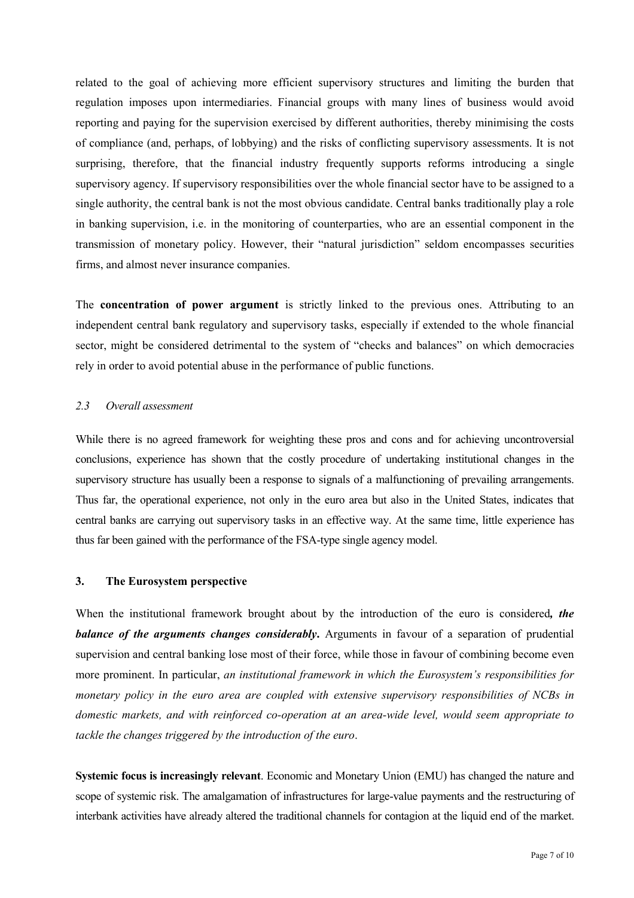related to the goal of achieving more efficient supervisory structures and limiting the burden that regulation imposes upon intermediaries. Financial groups with many lines of business would avoid reporting and paying for the supervision exercised by different authorities, thereby minimising the costs of compliance (and, perhaps, of lobbying) and the risks of conflicting supervisory assessments. It is not surprising, therefore, that the financial industry frequently supports reforms introducing a single supervisory agency. If supervisory responsibilities over the whole financial sector have to be assigned to a single authority, the central bank is not the most obvious candidate. Central banks traditionally play a role in banking supervision, i.e. in the monitoring of counterparties, who are an essential component in the transmission of monetary policy. However, their "natural jurisdiction" seldom encompasses securities firms, and almost never insurance companies.

The **concentration of power argument** is strictly linked to the previous ones. Attributing to an independent central bank regulatory and supervisory tasks, especially if extended to the whole financial sector, might be considered detrimental to the system of "checks and balances" on which democracies rely in order to avoid potential abuse in the performance of public functions.

## *2.3 Overall assessment*

While there is no agreed framework for weighting these pros and cons and for achieving uncontroversial conclusions, experience has shown that the costly procedure of undertaking institutional changes in the supervisory structure has usually been a response to signals of a malfunctioning of prevailing arrangements. Thus far, the operational experience, not only in the euro area but also in the United States, indicates that central banks are carrying out supervisory tasks in an effective way. At the same time, little experience has thus far been gained with the performance of the FSA-type single agency model.

### **3. The Eurosystem perspective**

When the institutional framework brought about by the introduction of the euro is considered*, the balance of the arguments changes considerably***.** Arguments in favour of a separation of prudential supervision and central banking lose most of their force, while those in favour of combining become even more prominent. In particular, *an institutional framework in which the Eurosystemís responsibilities for monetary policy in the euro area are coupled with extensive supervisory responsibilities of NCBs in domestic markets, and with reinforced co-operation at an area-wide level, would seem appropriate to tackle the changes triggered by the introduction of the euro*.

**Systemic focus is increasingly relevant**. Economic and Monetary Union (EMU) has changed the nature and scope of systemic risk. The amalgamation of infrastructures for large-value payments and the restructuring of interbank activities have already altered the traditional channels for contagion at the liquid end of the market.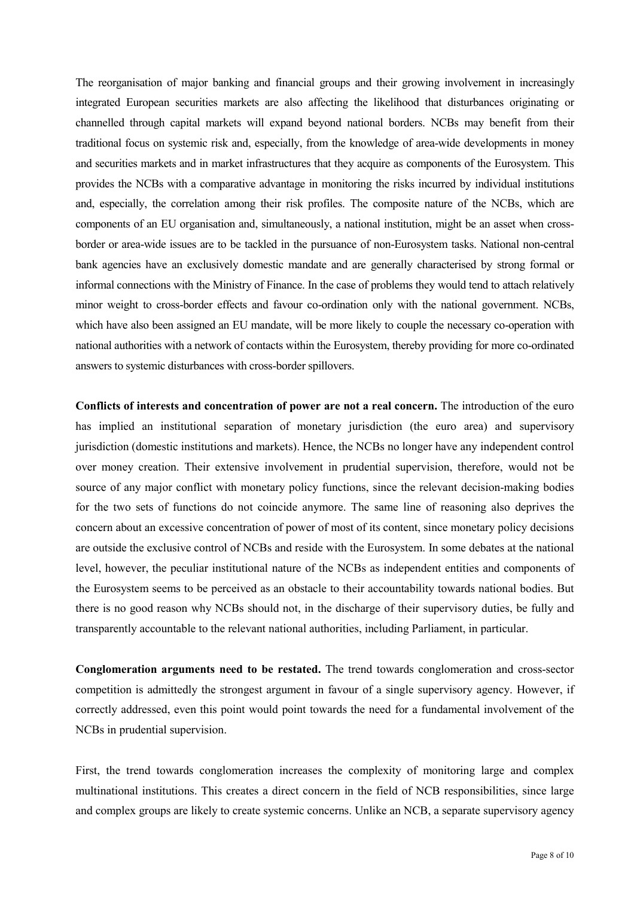The reorganisation of major banking and financial groups and their growing involvement in increasingly integrated European securities markets are also affecting the likelihood that disturbances originating or channelled through capital markets will expand beyond national borders. NCBs may benefit from their traditional focus on systemic risk and, especially, from the knowledge of area-wide developments in money and securities markets and in market infrastructures that they acquire as components of the Eurosystem. This provides the NCBs with a comparative advantage in monitoring the risks incurred by individual institutions and, especially, the correlation among their risk profiles. The composite nature of the NCBs, which are components of an EU organisation and, simultaneously, a national institution, might be an asset when crossborder or area-wide issues are to be tackled in the pursuance of non-Eurosystem tasks. National non-central bank agencies have an exclusively domestic mandate and are generally characterised by strong formal or informal connections with the Ministry of Finance. In the case of problems they would tend to attach relatively minor weight to cross-border effects and favour co-ordination only with the national government. NCBs, which have also been assigned an EU mandate, will be more likely to couple the necessary co-operation with national authorities with a network of contacts within the Eurosystem, thereby providing for more co-ordinated answers to systemic disturbances with cross-border spillovers.

**Conflicts of interests and concentration of power are not a real concern.** The introduction of the euro has implied an institutional separation of monetary jurisdiction (the euro area) and supervisory jurisdiction (domestic institutions and markets). Hence, the NCBs no longer have any independent control over money creation. Their extensive involvement in prudential supervision, therefore, would not be source of any major conflict with monetary policy functions, since the relevant decision-making bodies for the two sets of functions do not coincide anymore. The same line of reasoning also deprives the concern about an excessive concentration of power of most of its content, since monetary policy decisions are outside the exclusive control of NCBs and reside with the Eurosystem. In some debates at the national level, however, the peculiar institutional nature of the NCBs as independent entities and components of the Eurosystem seems to be perceived as an obstacle to their accountability towards national bodies. But there is no good reason why NCBs should not, in the discharge of their supervisory duties, be fully and transparently accountable to the relevant national authorities, including Parliament, in particular.

**Conglomeration arguments need to be restated.** The trend towards conglomeration and cross-sector competition is admittedly the strongest argument in favour of a single supervisory agency. However, if correctly addressed, even this point would point towards the need for a fundamental involvement of the NCBs in prudential supervision.

First, the trend towards conglomeration increases the complexity of monitoring large and complex multinational institutions. This creates a direct concern in the field of NCB responsibilities, since large and complex groups are likely to create systemic concerns. Unlike an NCB, a separate supervisory agency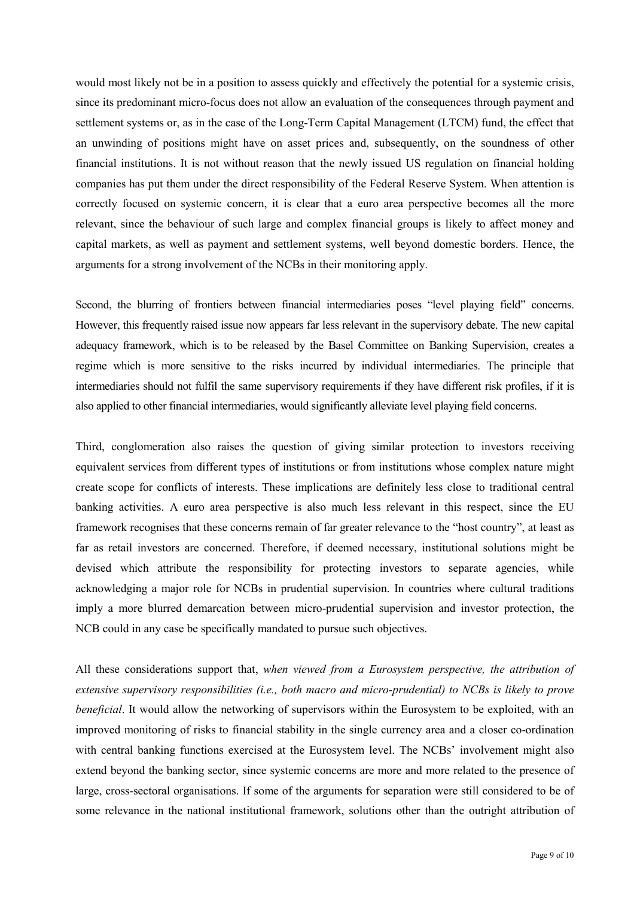would most likely not be in a position to assess quickly and effectively the potential for a systemic crisis, since its predominant micro-focus does not allow an evaluation of the consequences through payment and settlement systems or, as in the case of the Long-Term Capital Management (LTCM) fund, the effect that an unwinding of positions might have on asset prices and, subsequently, on the soundness of other financial institutions. It is not without reason that the newly issued US regulation on financial holding companies has put them under the direct responsibility of the Federal Reserve System. When attention is correctly focused on systemic concern, it is clear that a euro area perspective becomes all the more relevant, since the behaviour of such large and complex financial groups is likely to affect money and capital markets, as well as payment and settlement systems, well beyond domestic borders. Hence, the arguments for a strong involvement of the NCBs in their monitoring apply.

Second, the blurring of frontiers between financial intermediaries poses "level playing field" concerns. However, this frequently raised issue now appears far less relevant in the supervisory debate. The new capital adequacy framework, which is to be released by the Basel Committee on Banking Supervision, creates a regime which is more sensitive to the risks incurred by individual intermediaries. The principle that intermediaries should not fulfil the same supervisory requirements if they have different risk profiles, if it is also applied to other financial intermediaries, would significantly alleviate level playing field concerns.

Third, conglomeration also raises the question of giving similar protection to investors receiving equivalent services from different types of institutions or from institutions whose complex nature might create scope for conflicts of interests. These implications are definitely less close to traditional central banking activities. A euro area perspective is also much less relevant in this respect, since the EU framework recognises that these concerns remain of far greater relevance to the "host country", at least as far as retail investors are concerned. Therefore, if deemed necessary, institutional solutions might be devised which attribute the responsibility for protecting investors to separate agencies, while acknowledging a major role for NCBs in prudential supervision. In countries where cultural traditions imply a more blurred demarcation between micro-prudential supervision and investor protection, the NCB could in any case be specifically mandated to pursue such objectives.

All these considerations support that, *when viewed from a Eurosystem perspective, the attribution of extensive supervisory responsibilities (i.e., both macro and micro-prudential) to NCBs is likely to prove beneficial*. It would allow the networking of supervisors within the Eurosystem to be exploited, with an improved monitoring of risks to financial stability in the single currency area and a closer co-ordination with central banking functions exercised at the Eurosystem level. The NCBs' involvement might also extend beyond the banking sector, since systemic concerns are more and more related to the presence of large, cross-sectoral organisations. If some of the arguments for separation were still considered to be of some relevance in the national institutional framework, solutions other than the outright attribution of